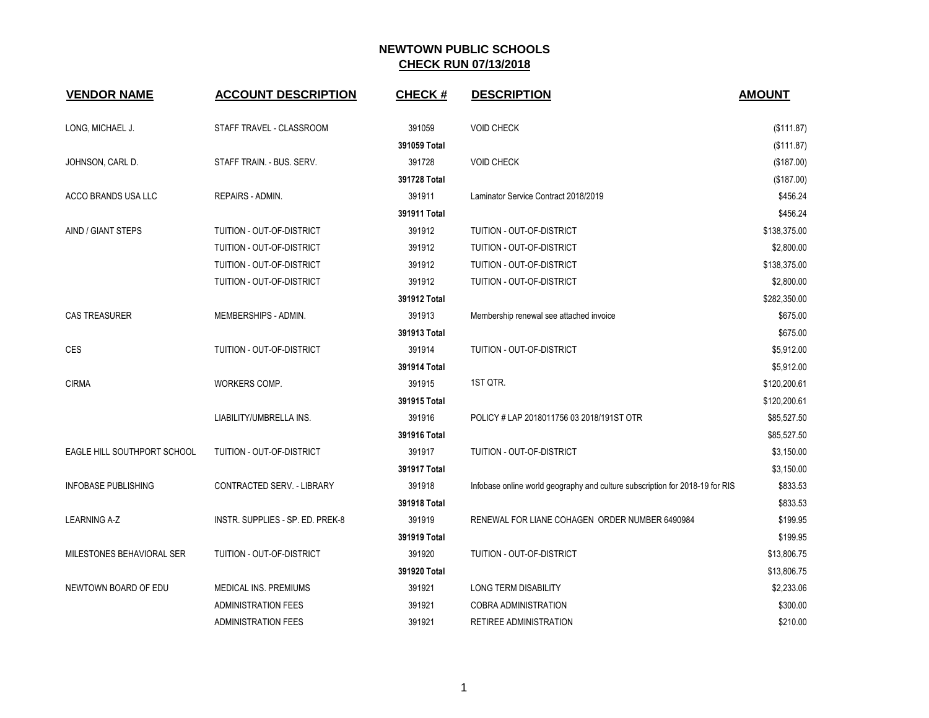| <b>VENDOR NAME</b>          | <b>ACCOUNT DESCRIPTION</b>       | <b>CHECK#</b> | <b>DESCRIPTION</b>                                                           | <b>AMOUNT</b> |
|-----------------------------|----------------------------------|---------------|------------------------------------------------------------------------------|---------------|
| LONG, MICHAEL J.            | STAFF TRAVEL - CLASSROOM         | 391059        | <b>VOID CHECK</b>                                                            | (\$111.87)    |
|                             |                                  | 391059 Total  |                                                                              | (\$111.87)    |
| JOHNSON, CARL D.            | STAFF TRAIN. - BUS. SERV.        | 391728        | <b>VOID CHECK</b>                                                            | (\$187.00)    |
|                             |                                  | 391728 Total  |                                                                              | (\$187.00)    |
| ACCO BRANDS USA LLC         | REPAIRS - ADMIN.                 | 391911        | Laminator Service Contract 2018/2019                                         | \$456.24      |
|                             |                                  | 391911 Total  |                                                                              | \$456.24      |
| AIND / GIANT STEPS          | TUITION - OUT-OF-DISTRICT        | 391912        | TUITION - OUT-OF-DISTRICT                                                    | \$138,375.00  |
|                             | TUITION - OUT-OF-DISTRICT        | 391912        | TUITION - OUT-OF-DISTRICT                                                    | \$2,800.00    |
|                             | TUITION - OUT-OF-DISTRICT        | 391912        | TUITION - OUT-OF-DISTRICT                                                    | \$138,375.00  |
|                             | TUITION - OUT-OF-DISTRICT        | 391912        | TUITION - OUT-OF-DISTRICT                                                    | \$2,800.00    |
|                             |                                  | 391912 Total  |                                                                              | \$282,350.00  |
| <b>CAS TREASURER</b>        | MEMBERSHIPS - ADMIN.             | 391913        | Membership renewal see attached invoice                                      | \$675.00      |
|                             |                                  | 391913 Total  |                                                                              | \$675.00      |
| <b>CES</b>                  | TUITION - OUT-OF-DISTRICT        | 391914        | TUITION - OUT-OF-DISTRICT                                                    | \$5,912.00    |
|                             |                                  | 391914 Total  |                                                                              | \$5,912.00    |
| <b>CIRMA</b>                | WORKERS COMP.                    | 391915        | 1ST QTR.                                                                     | \$120,200.61  |
|                             |                                  | 391915 Total  |                                                                              | \$120,200.61  |
|                             | LIABILITY/UMBRELLA INS.          | 391916        | POLICY # LAP 2018011756 03 2018/191ST OTR                                    | \$85,527.50   |
|                             |                                  | 391916 Total  |                                                                              | \$85,527.50   |
| EAGLE HILL SOUTHPORT SCHOOL | TUITION - OUT-OF-DISTRICT        | 391917        | TUITION - OUT-OF-DISTRICT                                                    | \$3,150.00    |
|                             |                                  | 391917 Total  |                                                                              | \$3,150.00    |
| <b>INFOBASE PUBLISHING</b>  | CONTRACTED SERV. - LIBRARY       | 391918        | Infobase online world geography and culture subscription for 2018-19 for RIS | \$833.53      |
|                             |                                  | 391918 Total  |                                                                              | \$833.53      |
| <b>LEARNING A-Z</b>         | INSTR. SUPPLIES - SP. ED. PREK-8 | 391919        | RENEWAL FOR LIANE COHAGEN ORDER NUMBER 6490984                               | \$199.95      |
|                             |                                  | 391919 Total  |                                                                              | \$199.95      |
| MILESTONES BEHAVIORAL SER   | TUITION - OUT-OF-DISTRICT        | 391920        | TUITION - OUT-OF-DISTRICT                                                    | \$13,806.75   |
|                             |                                  | 391920 Total  |                                                                              | \$13,806.75   |
| NEWTOWN BOARD OF EDU        | MEDICAL INS. PREMIUMS            | 391921        | LONG TERM DISABILITY                                                         | \$2,233.06    |
|                             | <b>ADMINISTRATION FEES</b>       | 391921        | <b>COBRA ADMINISTRATION</b>                                                  | \$300.00      |
|                             | <b>ADMINISTRATION FEES</b>       | 391921        | <b>RETIREE ADMINISTRATION</b>                                                | \$210.00      |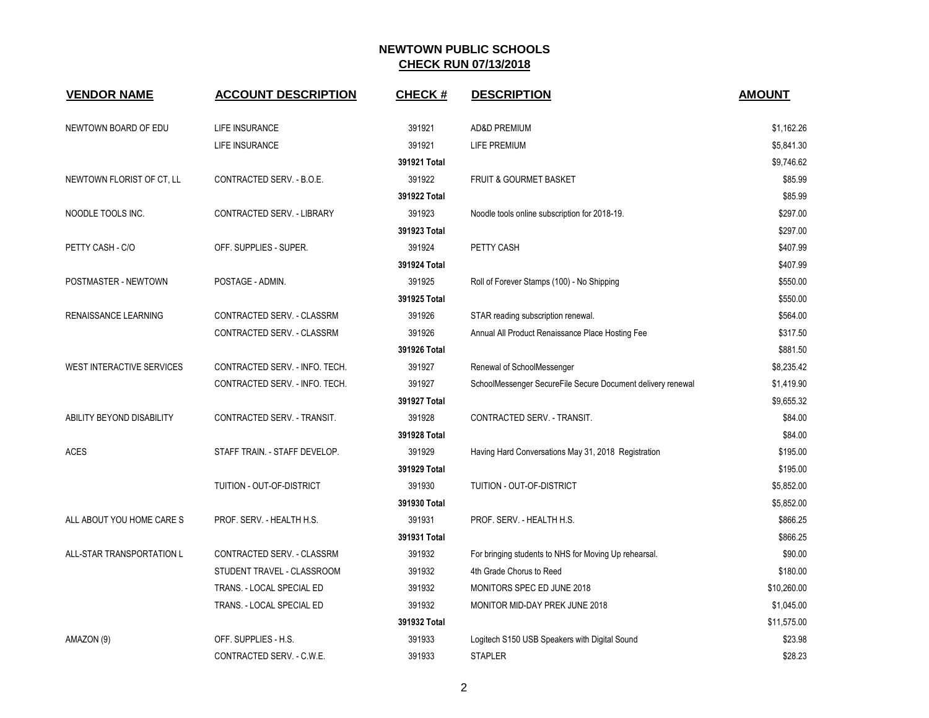| <b>VENDOR NAME</b>               | <b>ACCOUNT DESCRIPTION</b>     | <b>CHECK#</b> | <b>DESCRIPTION</b>                                          | <b>AMOUNT</b> |
|----------------------------------|--------------------------------|---------------|-------------------------------------------------------------|---------------|
| NEWTOWN BOARD OF EDU             | LIFE INSURANCE                 | 391921        | <b>AD&amp;D PREMIUM</b>                                     | \$1,162.26    |
|                                  | LIFE INSURANCE                 | 391921        | <b>LIFE PREMIUM</b>                                         | \$5,841.30    |
|                                  |                                | 391921 Total  |                                                             | \$9,746.62    |
| NEWTOWN FLORIST OF CT, LL        | CONTRACTED SERV. - B.O.E.      | 391922        | FRUIT & GOURMET BASKET                                      | \$85.99       |
|                                  |                                | 391922 Total  |                                                             | \$85.99       |
| NOODLE TOOLS INC.                | CONTRACTED SERV. - LIBRARY     | 391923        | Noodle tools online subscription for 2018-19.               | \$297.00      |
|                                  |                                | 391923 Total  |                                                             | \$297.00      |
| PETTY CASH - C/O                 | OFF. SUPPLIES - SUPER.         | 391924        | PETTY CASH                                                  | \$407.99      |
|                                  |                                | 391924 Total  |                                                             | \$407.99      |
| POSTMASTER - NEWTOWN             | POSTAGE - ADMIN.               | 391925        | Roll of Forever Stamps (100) - No Shipping                  | \$550.00      |
|                                  |                                | 391925 Total  |                                                             | \$550.00      |
| RENAISSANCE LEARNING             | CONTRACTED SERV. - CLASSRM     | 391926        | STAR reading subscription renewal.                          | \$564.00      |
|                                  | CONTRACTED SERV. - CLASSRM     | 391926        | Annual All Product Renaissance Place Hosting Fee            | \$317.50      |
|                                  |                                | 391926 Total  |                                                             | \$881.50      |
| <b>WEST INTERACTIVE SERVICES</b> | CONTRACTED SERV. - INFO. TECH. | 391927        | Renewal of SchoolMessenger                                  | \$8,235.42    |
|                                  | CONTRACTED SERV. - INFO. TECH. | 391927        | SchoolMessenger SecureFile Secure Document delivery renewal | \$1,419.90    |
|                                  |                                | 391927 Total  |                                                             | \$9,655.32    |
| ABILITY BEYOND DISABILITY        | CONTRACTED SERV. - TRANSIT.    | 391928        | CONTRACTED SERV. - TRANSIT.                                 | \$84.00       |
|                                  |                                | 391928 Total  |                                                             | \$84.00       |
| <b>ACES</b>                      | STAFF TRAIN. - STAFF DEVELOP.  | 391929        | Having Hard Conversations May 31, 2018 Registration         | \$195.00      |
|                                  |                                | 391929 Total  |                                                             | \$195.00      |
|                                  | TUITION - OUT-OF-DISTRICT      | 391930        | TUITION - OUT-OF-DISTRICT                                   | \$5,852.00    |
|                                  |                                | 391930 Total  |                                                             | \$5,852.00    |
| ALL ABOUT YOU HOME CARE S        | PROF. SERV. - HEALTH H.S.      | 391931        | PROF. SERV. - HEALTH H.S.                                   | \$866.25      |
|                                  |                                | 391931 Total  |                                                             | \$866.25      |
| ALL-STAR TRANSPORTATION L        | CONTRACTED SERV. - CLASSRM     | 391932        | For bringing students to NHS for Moving Up rehearsal.       | \$90.00       |
|                                  | STUDENT TRAVEL - CLASSROOM     | 391932        | 4th Grade Chorus to Reed                                    | \$180.00      |
|                                  | TRANS. - LOCAL SPECIAL ED      | 391932        | MONITORS SPEC ED JUNE 2018                                  | \$10,260.00   |
|                                  | TRANS. - LOCAL SPECIAL ED      | 391932        | MONITOR MID-DAY PREK JUNE 2018                              | \$1,045.00    |
|                                  |                                | 391932 Total  |                                                             | \$11,575.00   |
| AMAZON (9)                       | OFF. SUPPLIES - H.S.           | 391933        | Logitech S150 USB Speakers with Digital Sound               | \$23.98       |
|                                  | CONTRACTED SERV. - C.W.E.      | 391933        | <b>STAPLER</b>                                              | \$28.23       |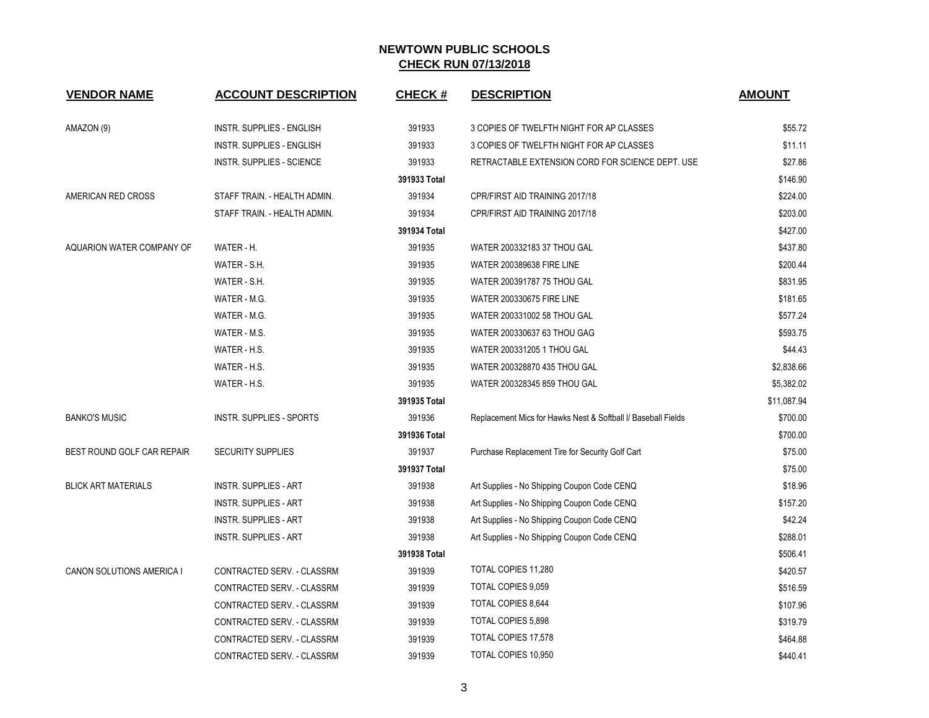| <b>VENDOR NAME</b>         | <b>ACCOUNT DESCRIPTION</b>       | <b>CHECK#</b> | <b>DESCRIPTION</b>                                            | <b>AMOUNT</b> |
|----------------------------|----------------------------------|---------------|---------------------------------------------------------------|---------------|
| AMAZON (9)                 | <b>INSTR. SUPPLIES - ENGLISH</b> | 391933        | 3 COPIES OF TWELFTH NIGHT FOR AP CLASSES                      | \$55.72       |
|                            | <b>INSTR. SUPPLIES - ENGLISH</b> | 391933        | 3 COPIES OF TWELFTH NIGHT FOR AP CLASSES                      | \$11.11       |
|                            | <b>INSTR. SUPPLIES - SCIENCE</b> | 391933        | RETRACTABLE EXTENSION CORD FOR SCIENCE DEPT. USE              | \$27.86       |
|                            |                                  | 391933 Total  |                                                               | \$146.90      |
| AMERICAN RED CROSS         | STAFF TRAIN. - HEALTH ADMIN.     | 391934        | CPR/FIRST AID TRAINING 2017/18                                | \$224.00      |
|                            | STAFF TRAIN. - HEALTH ADMIN.     | 391934        | CPR/FIRST AID TRAINING 2017/18                                | \$203.00      |
|                            |                                  | 391934 Total  |                                                               | \$427.00      |
| AQUARION WATER COMPANY OF  | WATER - H.                       | 391935        | WATER 200332183 37 THOU GAL                                   | \$437.80      |
|                            | WATER - S.H.                     | 391935        | <b>WATER 200389638 FIRE LINE</b>                              | \$200.44      |
|                            | WATER - S.H.                     | 391935        | WATER 200391787 75 THOU GAL                                   | \$831.95      |
|                            | WATER - M.G.                     | 391935        | WATER 200330675 FIRE LINE                                     | \$181.65      |
|                            | WATER - M.G.                     | 391935        | WATER 200331002 58 THOU GAL                                   | \$577.24      |
|                            | WATER - M.S.                     | 391935        | WATER 200330637 63 THOU GAG                                   | \$593.75      |
|                            | WATER - H.S.                     | 391935        | WATER 200331205 1 THOU GAL                                    | \$44.43       |
|                            | WATER - H.S.                     | 391935        | WATER 200328870 435 THOU GAL                                  | \$2,838.66    |
|                            | WATER - H.S.                     | 391935        | WATER 200328345 859 THOU GAL                                  | \$5,382.02    |
|                            |                                  | 391935 Total  |                                                               | \$11,087.94   |
| <b>BANKO'S MUSIC</b>       | INSTR. SUPPLIES - SPORTS         | 391936        | Replacement Mics for Hawks Nest & Softball I/ Baseball Fields | \$700.00      |
|                            |                                  | 391936 Total  |                                                               | \$700.00      |
| BEST ROUND GOLF CAR REPAIR | <b>SECURITY SUPPLIES</b>         | 391937        | Purchase Replacement Tire for Security Golf Cart              | \$75.00       |
|                            |                                  | 391937 Total  |                                                               | \$75.00       |
| <b>BLICK ART MATERIALS</b> | <b>INSTR. SUPPLIES - ART</b>     | 391938        | Art Supplies - No Shipping Coupon Code CENQ                   | \$18.96       |
|                            | <b>INSTR. SUPPLIES - ART</b>     | 391938        | Art Supplies - No Shipping Coupon Code CENQ                   | \$157.20      |
|                            | <b>INSTR. SUPPLIES - ART</b>     | 391938        | Art Supplies - No Shipping Coupon Code CENQ                   | \$42.24       |
|                            | <b>INSTR. SUPPLIES - ART</b>     | 391938        | Art Supplies - No Shipping Coupon Code CENQ                   | \$288.01      |
|                            |                                  | 391938 Total  |                                                               | \$506.41      |
| CANON SOLUTIONS AMERICA I  | CONTRACTED SERV. - CLASSRM       | 391939        | TOTAL COPIES 11,280                                           | \$420.57      |
|                            | CONTRACTED SERV. - CLASSRM       | 391939        | TOTAL COPIES 9,059                                            | \$516.59      |
|                            | CONTRACTED SERV. - CLASSRM       | 391939        | TOTAL COPIES 8,644                                            | \$107.96      |
|                            | CONTRACTED SERV. - CLASSRM       | 391939        | TOTAL COPIES 5,898                                            | \$319.79      |
|                            | CONTRACTED SERV. - CLASSRM       | 391939        | TOTAL COPIES 17,578                                           | \$464.88      |
|                            | CONTRACTED SERV. - CLASSRM       | 391939        | <b>TOTAL COPIES 10,950</b>                                    | \$440.41      |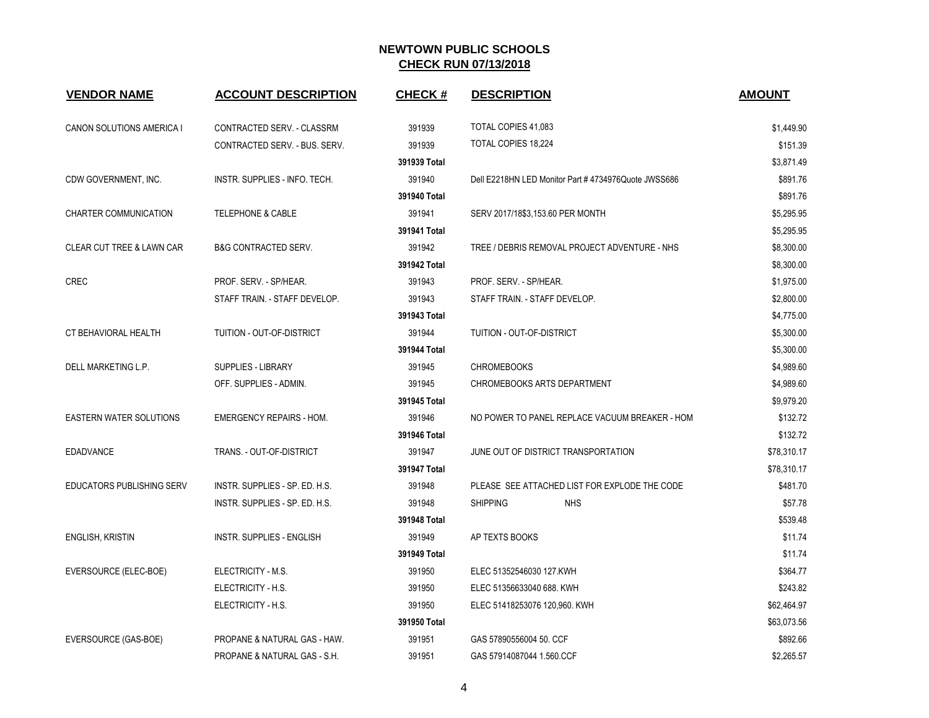| <b>VENDOR NAME</b>                   | <b>ACCOUNT DESCRIPTION</b>       | <b>CHECK#</b> | <b>DESCRIPTION</b>                                  | <b>AMOUNT</b> |
|--------------------------------------|----------------------------------|---------------|-----------------------------------------------------|---------------|
| CANON SOLUTIONS AMERICA I            | CONTRACTED SERV. - CLASSRM       | 391939        | TOTAL COPIES 41,083                                 | \$1,449.90    |
|                                      | CONTRACTED SERV. - BUS. SERV.    | 391939        | TOTAL COPIES 18,224                                 | \$151.39      |
|                                      |                                  | 391939 Total  |                                                     | \$3,871.49    |
| CDW GOVERNMENT, INC.                 | INSTR. SUPPLIES - INFO. TECH.    | 391940        | Dell E2218HN LED Monitor Part #4734976Quote JWSS686 | \$891.76      |
|                                      |                                  | 391940 Total  |                                                     | \$891.76      |
| CHARTER COMMUNICATION                | <b>TELEPHONE &amp; CABLE</b>     | 391941        | SERV 2017/18\$3,153.60 PER MONTH                    | \$5,295.95    |
|                                      |                                  | 391941 Total  |                                                     | \$5,295.95    |
| <b>CLEAR CUT TREE &amp; LAWN CAR</b> | <b>B&amp;G CONTRACTED SERV.</b>  | 391942        | TREE / DEBRIS REMOVAL PROJECT ADVENTURE - NHS       | \$8,300.00    |
|                                      |                                  | 391942 Total  |                                                     | \$8,300.00    |
| <b>CREC</b>                          | PROF. SERV. - SP/HEAR.           | 391943        | PROF. SERV. - SP/HEAR.                              | \$1,975.00    |
|                                      | STAFF TRAIN. - STAFF DEVELOP.    | 391943        | STAFF TRAIN. - STAFF DEVELOP.                       | \$2,800.00    |
|                                      |                                  | 391943 Total  |                                                     | \$4,775.00    |
| CT BEHAVIORAL HEALTH                 | TUITION - OUT-OF-DISTRICT        | 391944        | TUITION - OUT-OF-DISTRICT                           | \$5,300.00    |
|                                      |                                  | 391944 Total  |                                                     | \$5,300.00    |
| DELL MARKETING L.P.                  | <b>SUPPLIES - LIBRARY</b>        | 391945        | <b>CHROMEBOOKS</b>                                  | \$4,989.60    |
|                                      | OFF. SUPPLIES - ADMIN.           | 391945        | <b>CHROMEBOOKS ARTS DEPARTMENT</b>                  | \$4,989.60    |
|                                      |                                  | 391945 Total  |                                                     | \$9,979.20    |
| <b>EASTERN WATER SOLUTIONS</b>       | <b>EMERGENCY REPAIRS - HOM.</b>  | 391946        | NO POWER TO PANEL REPLACE VACUUM BREAKER - HOM      | \$132.72      |
|                                      |                                  | 391946 Total  |                                                     | \$132.72      |
| <b>EDADVANCE</b>                     | TRANS. - OUT-OF-DISTRICT         | 391947        | JUNE OUT OF DISTRICT TRANSPORTATION                 | \$78,310.17   |
|                                      |                                  | 391947 Total  |                                                     | \$78,310.17   |
| EDUCATORS PUBLISHING SERV            | INSTR. SUPPLIES - SP. ED. H.S.   | 391948        | PLEASE SEE ATTACHED LIST FOR EXPLODE THE CODE       | \$481.70      |
|                                      | INSTR. SUPPLIES - SP. ED. H.S.   | 391948        | <b>SHIPPING</b><br><b>NHS</b>                       | \$57.78       |
|                                      |                                  | 391948 Total  |                                                     | \$539.48      |
| <b>ENGLISH, KRISTIN</b>              | <b>INSTR. SUPPLIES - ENGLISH</b> | 391949        | AP TEXTS BOOKS                                      | \$11.74       |
|                                      |                                  | 391949 Total  |                                                     | \$11.74       |
| EVERSOURCE (ELEC-BOE)                | ELECTRICITY - M.S.               | 391950        | ELEC 51352546030 127 KWH                            | \$364.77      |
|                                      | ELECTRICITY - H.S.               | 391950        | ELEC 51356633040 688. KWH                           | \$243.82      |
|                                      | ELECTRICITY - H.S.               | 391950        | ELEC 51418253076 120,960. KWH                       | \$62,464.97   |
|                                      |                                  | 391950 Total  |                                                     | \$63,073.56   |
| EVERSOURCE (GAS-BOE)                 | PROPANE & NATURAL GAS - HAW.     | 391951        | GAS 57890556004 50. CCF                             | \$892.66      |
|                                      | PROPANE & NATURAL GAS - S.H.     | 391951        | GAS 57914087044 1.560 CCF                           | \$2,265.57    |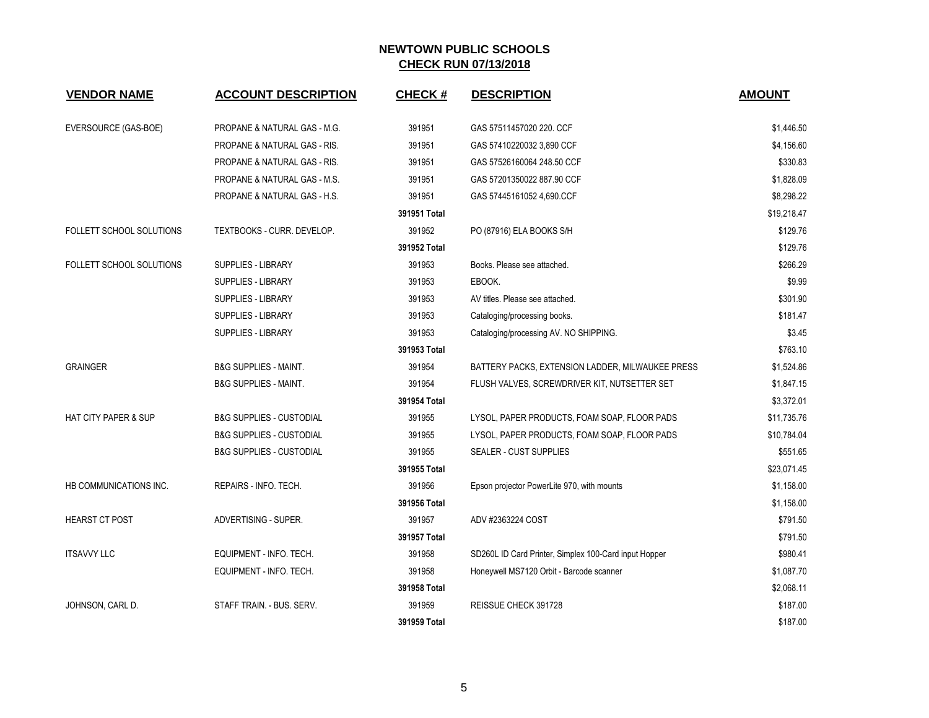| <b>VENDOR NAME</b>              | <b>ACCOUNT DESCRIPTION</b>          | <b>CHECK#</b> | <b>DESCRIPTION</b>                                    | <b>AMOUNT</b> |
|---------------------------------|-------------------------------------|---------------|-------------------------------------------------------|---------------|
|                                 |                                     |               |                                                       |               |
| EVERSOURCE (GAS-BOE)            | PROPANE & NATURAL GAS - M.G.        | 391951        | GAS 57511457020 220. CCF                              | \$1,446.50    |
|                                 | PROPANE & NATURAL GAS - RIS.        | 391951        | GAS 57410220032 3,890 CCF                             | \$4,156.60    |
|                                 | PROPANE & NATURAL GAS - RIS.        | 391951        | GAS 57526160064 248.50 CCF                            | \$330.83      |
|                                 | PROPANE & NATURAL GAS - M.S.        | 391951        | GAS 57201350022 887.90 CCF                            | \$1,828.09    |
|                                 | PROPANE & NATURAL GAS - H.S.        | 391951        | GAS 57445161052 4,690.CCF                             | \$8,298.22    |
|                                 |                                     | 391951 Total  |                                                       | \$19,218.47   |
| FOLLETT SCHOOL SOLUTIONS        | TEXTBOOKS - CURR. DEVELOP.          | 391952        | PO (87916) ELA BOOKS S/H                              | \$129.76      |
|                                 |                                     | 391952 Total  |                                                       | \$129.76      |
| <b>FOLLETT SCHOOL SOLUTIONS</b> | <b>SUPPLIES - LIBRARY</b>           | 391953        | Books. Please see attached.                           | \$266.29      |
|                                 | SUPPLIES - LIBRARY                  | 391953        | EBOOK.                                                | \$9.99        |
|                                 | <b>SUPPLIES - LIBRARY</b>           | 391953        | AV titles. Please see attached.                       | \$301.90      |
|                                 | <b>SUPPLIES - LIBRARY</b>           | 391953        | Cataloging/processing books.                          | \$181.47      |
|                                 | SUPPLIES - LIBRARY                  | 391953        | Cataloging/processing AV. NO SHIPPING.                | \$3.45        |
|                                 |                                     | 391953 Total  |                                                       | \$763.10      |
| <b>GRAINGER</b>                 | <b>B&amp;G SUPPLIES - MAINT.</b>    | 391954        | BATTERY PACKS, EXTENSION LADDER, MILWAUKEE PRESS      | \$1,524.86    |
|                                 | <b>B&amp;G SUPPLIES - MAINT.</b>    | 391954        | FLUSH VALVES, SCREWDRIVER KIT, NUTSETTER SET          | \$1,847.15    |
|                                 |                                     | 391954 Total  |                                                       | \$3,372.01    |
| <b>HAT CITY PAPER &amp; SUP</b> | <b>B&amp;G SUPPLIES - CUSTODIAL</b> | 391955        | LYSOL, PAPER PRODUCTS, FOAM SOAP, FLOOR PADS          | \$11,735.76   |
|                                 | <b>B&amp;G SUPPLIES - CUSTODIAL</b> | 391955        | LYSOL, PAPER PRODUCTS, FOAM SOAP, FLOOR PADS          | \$10,784.04   |
|                                 | <b>B&amp;G SUPPLIES - CUSTODIAL</b> | 391955        | <b>SEALER - CUST SUPPLIES</b>                         | \$551.65      |
|                                 |                                     | 391955 Total  |                                                       | \$23,071.45   |
| HB COMMUNICATIONS INC.          | REPAIRS - INFO. TECH.               | 391956        | Epson projector PowerLite 970, with mounts            | \$1,158.00    |
|                                 |                                     | 391956 Total  |                                                       | \$1,158.00    |
| <b>HEARST CT POST</b>           | ADVERTISING - SUPER.                | 391957        | ADV #2363224 COST                                     | \$791.50      |
|                                 |                                     | 391957 Total  |                                                       | \$791.50      |
| <b>ITSAVVY LLC</b>              | EQUIPMENT - INFO. TECH.             | 391958        | SD260L ID Card Printer, Simplex 100-Card input Hopper | \$980.41      |
|                                 | EQUIPMENT - INFO. TECH.             | 391958        | Honeywell MS7120 Orbit - Barcode scanner              | \$1,087.70    |
|                                 |                                     | 391958 Total  |                                                       | \$2,068.11    |
| JOHNSON, CARL D.                | STAFF TRAIN. - BUS. SERV.           | 391959        | REISSUE CHECK 391728                                  | \$187.00      |
|                                 |                                     | 391959 Total  |                                                       | \$187.00      |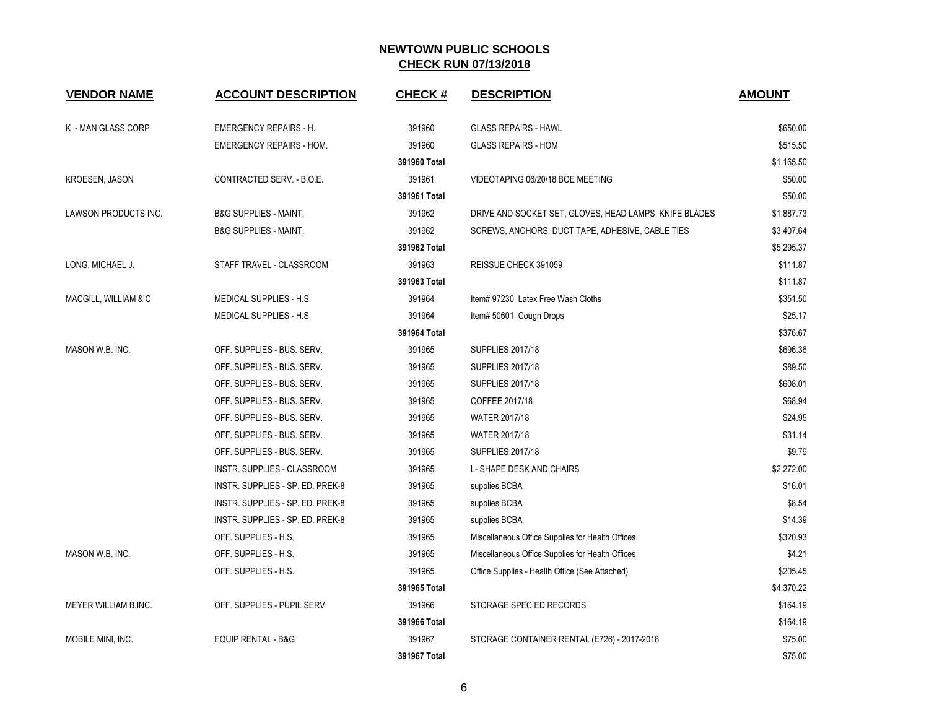| <b>VENDOR NAME</b>    | <b>ACCOUNT DESCRIPTION</b>       | <b>CHECK#</b> | <b>DESCRIPTION</b>                                     | <b>AMOUNT</b> |
|-----------------------|----------------------------------|---------------|--------------------------------------------------------|---------------|
| K - MAN GLASS CORP    | <b>EMERGENCY REPAIRS - H.</b>    | 391960        | <b>GLASS REPAIRS - HAWL</b>                            | \$650.00      |
|                       | <b>EMERGENCY REPAIRS - HOM.</b>  | 391960        | <b>GLASS REPAIRS - HOM</b>                             | \$515.50      |
|                       |                                  | 391960 Total  |                                                        | \$1,165.50    |
| <b>KROESEN, JASON</b> | CONTRACTED SERV. - B.O.E.        | 391961        | VIDEOTAPING 06/20/18 BOE MEETING                       | \$50.00       |
|                       |                                  | 391961 Total  |                                                        | \$50.00       |
| LAWSON PRODUCTS INC.  | <b>B&amp;G SUPPLIES - MAINT.</b> | 391962        | DRIVE AND SOCKET SET, GLOVES, HEAD LAMPS, KNIFE BLADES | \$1,887.73    |
|                       | <b>B&amp;G SUPPLIES - MAINT.</b> | 391962        | SCREWS, ANCHORS, DUCT TAPE, ADHESIVE, CABLE TIES       | \$3,407.64    |
|                       |                                  | 391962 Total  |                                                        | \$5,295.37    |
| LONG, MICHAEL J.      | STAFF TRAVEL - CLASSROOM         | 391963        | REISSUE CHECK 391059                                   | \$111.87      |
|                       |                                  | 391963 Total  |                                                        | \$111.87      |
| MACGILL, WILLIAM & C  | MEDICAL SUPPLIES - H.S.          | 391964        | Item# 97230 Latex Free Wash Cloths                     | \$351.50      |
|                       | MEDICAL SUPPLIES - H.S.          | 391964        | Item# 50601 Cough Drops                                | \$25.17       |
|                       |                                  | 391964 Total  |                                                        | \$376.67      |
| MASON W.B. INC.       | OFF. SUPPLIES - BUS. SERV.       | 391965        | <b>SUPPLIES 2017/18</b>                                | \$696.36      |
|                       | OFF. SUPPLIES - BUS. SERV.       | 391965        | <b>SUPPLIES 2017/18</b>                                | \$89.50       |
|                       | OFF. SUPPLIES - BUS. SERV.       | 391965        | <b>SUPPLIES 2017/18</b>                                | \$608.01      |
|                       | OFF. SUPPLIES - BUS. SERV.       | 391965        | COFFEE 2017/18                                         | \$68.94       |
|                       | OFF. SUPPLIES - BUS. SERV.       | 391965        | WATER 2017/18                                          | \$24.95       |
|                       | OFF. SUPPLIES - BUS. SERV.       | 391965        | WATER 2017/18                                          | \$31.14       |
|                       | OFF. SUPPLIES - BUS. SERV.       | 391965        | <b>SUPPLIES 2017/18</b>                                | \$9.79        |
|                       | INSTR. SUPPLIES - CLASSROOM      | 391965        | L- SHAPE DESK AND CHAIRS                               | \$2,272.00    |
|                       | INSTR. SUPPLIES - SP. ED. PREK-8 | 391965        | supplies BCBA                                          | \$16.01       |
|                       | INSTR. SUPPLIES - SP. ED. PREK-8 | 391965        | supplies BCBA                                          | \$8.54        |
|                       | INSTR. SUPPLIES - SP. ED. PREK-8 | 391965        | supplies BCBA                                          | \$14.39       |
|                       | OFF. SUPPLIES - H.S.             | 391965        | Miscellaneous Office Supplies for Health Offices       | \$320.93      |
| MASON W.B. INC.       | OFF. SUPPLIES - H.S.             | 391965        | Miscellaneous Office Supplies for Health Offices       | \$4.21        |
|                       | OFF. SUPPLIES - H.S.             | 391965        | Office Supplies - Health Office (See Attached)         | \$205.45      |
|                       |                                  | 391965 Total  |                                                        | \$4,370.22    |
| MEYER WILLIAM B.INC.  | OFF. SUPPLIES - PUPIL SERV.      | 391966        | STORAGE SPEC ED RECORDS                                | \$164.19      |
|                       |                                  | 391966 Total  |                                                        | \$164.19      |
| MOBILE MINI, INC.     | <b>EQUIP RENTAL - B&amp;G</b>    | 391967        | STORAGE CONTAINER RENTAL (E726) - 2017-2018            | \$75.00       |
|                       |                                  | 391967 Total  |                                                        | \$75.00       |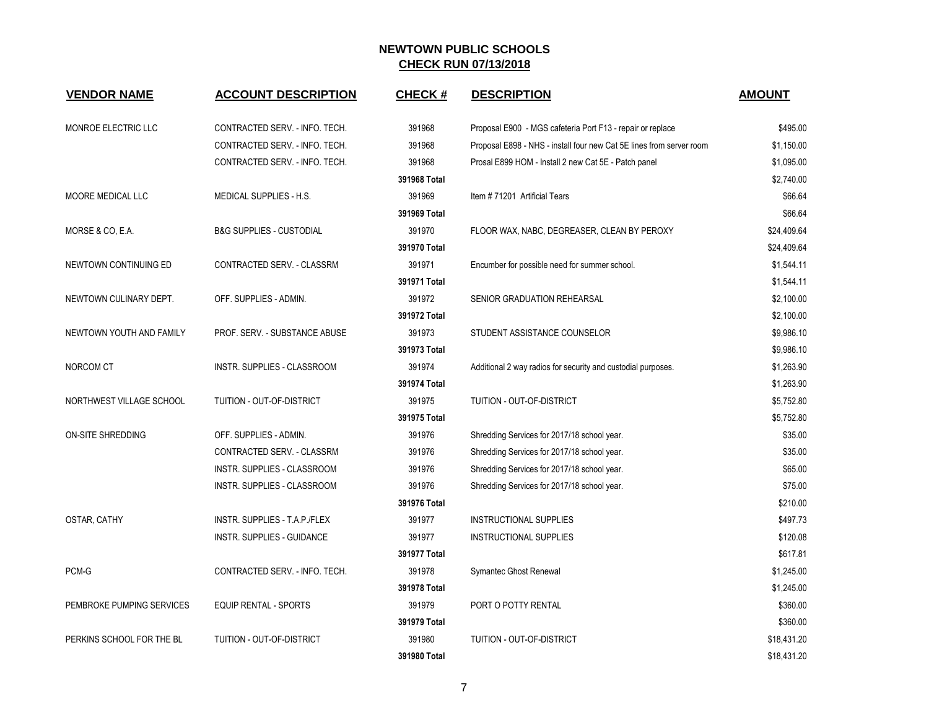| <b>VENDOR NAME</b>        | <b>ACCOUNT DESCRIPTION</b>          | <b>CHECK#</b> | <b>DESCRIPTION</b>                                                   | <b>AMOUNT</b> |
|---------------------------|-------------------------------------|---------------|----------------------------------------------------------------------|---------------|
| MONROE ELECTRIC LLC       | CONTRACTED SERV. - INFO. TECH.      | 391968        | Proposal E900 - MGS cafeteria Port F13 - repair or replace           | \$495.00      |
|                           | CONTRACTED SERV. - INFO. TECH.      | 391968        | Proposal E898 - NHS - install four new Cat 5E lines from server room | \$1,150.00    |
|                           | CONTRACTED SERV. - INFO. TECH.      | 391968        | Prosal E899 HOM - Install 2 new Cat 5E - Patch panel                 | \$1,095.00    |
|                           |                                     | 391968 Total  |                                                                      | \$2,740.00    |
| MOORE MEDICAL LLC         | MEDICAL SUPPLIES - H.S.             | 391969        | Item #71201 Artificial Tears                                         | \$66.64       |
|                           |                                     | 391969 Total  |                                                                      | \$66.64       |
| MORSE & CO, E.A.          | <b>B&amp;G SUPPLIES - CUSTODIAL</b> | 391970        | FLOOR WAX, NABC, DEGREASER, CLEAN BY PEROXY                          | \$24,409.64   |
|                           |                                     | 391970 Total  |                                                                      | \$24,409.64   |
| NEWTOWN CONTINUING ED     | CONTRACTED SERV. - CLASSRM          | 391971        | Encumber for possible need for summer school.                        | \$1,544.11    |
|                           |                                     | 391971 Total  |                                                                      | \$1,544.11    |
| NEWTOWN CULINARY DEPT.    | OFF. SUPPLIES - ADMIN.              | 391972        | SENIOR GRADUATION REHEARSAL                                          | \$2,100.00    |
|                           |                                     | 391972 Total  |                                                                      | \$2,100.00    |
| NEWTOWN YOUTH AND FAMILY  | PROF. SERV. - SUBSTANCE ABUSE       | 391973        | STUDENT ASSISTANCE COUNSELOR                                         | \$9,986.10    |
|                           |                                     | 391973 Total  |                                                                      | \$9,986.10    |
| NORCOM CT                 | INSTR. SUPPLIES - CLASSROOM         | 391974        | Additional 2 way radios for security and custodial purposes.         | \$1,263.90    |
|                           |                                     | 391974 Total  |                                                                      | \$1,263.90    |
| NORTHWEST VILLAGE SCHOOL  | TUITION - OUT-OF-DISTRICT           | 391975        | TUITION - OUT-OF-DISTRICT                                            | \$5,752.80    |
|                           |                                     | 391975 Total  |                                                                      | \$5,752.80    |
| ON-SITE SHREDDING         | OFF. SUPPLIES - ADMIN.              | 391976        | Shredding Services for 2017/18 school year.                          | \$35.00       |
|                           | CONTRACTED SERV. - CLASSRM          | 391976        | Shredding Services for 2017/18 school year.                          | \$35.00       |
|                           | INSTR. SUPPLIES - CLASSROOM         | 391976        | Shredding Services for 2017/18 school year.                          | \$65.00       |
|                           | INSTR. SUPPLIES - CLASSROOM         | 391976        | Shredding Services for 2017/18 school year.                          | \$75.00       |
|                           |                                     | 391976 Total  |                                                                      | \$210.00      |
| OSTAR, CATHY              | INSTR. SUPPLIES - T.A.P./FLEX       | 391977        | <b>INSTRUCTIONAL SUPPLIES</b>                                        | \$497.73      |
|                           | INSTR. SUPPLIES - GUIDANCE          | 391977        | INSTRUCTIONAL SUPPLIES                                               | \$120.08      |
|                           |                                     | 391977 Total  |                                                                      | \$617.81      |
| PCM-G                     | CONTRACTED SERV. - INFO. TECH.      | 391978        | Symantec Ghost Renewal                                               | \$1,245.00    |
|                           |                                     | 391978 Total  |                                                                      | \$1,245.00    |
| PEMBROKE PUMPING SERVICES | <b>EQUIP RENTAL - SPORTS</b>        | 391979        | PORT O POTTY RENTAL                                                  | \$360.00      |
|                           |                                     | 391979 Total  |                                                                      | \$360.00      |
| PERKINS SCHOOL FOR THE BL | TUITION - OUT-OF-DISTRICT           | 391980        | TUITION - OUT-OF-DISTRICT                                            | \$18,431.20   |
|                           |                                     | 391980 Total  |                                                                      | \$18,431.20   |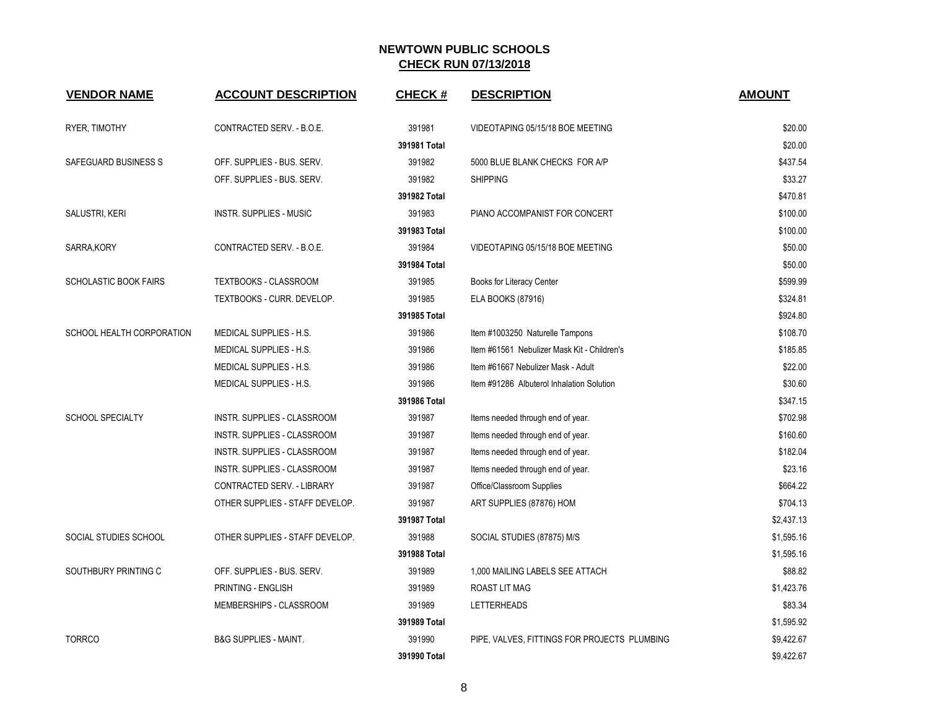| <b>VENDOR NAME</b>           | <b>ACCOUNT DESCRIPTION</b>       | <b>CHECK#</b> | <b>DESCRIPTION</b>                           | <b>AMOUNT</b> |
|------------------------------|----------------------------------|---------------|----------------------------------------------|---------------|
| RYER, TIMOTHY                | CONTRACTED SERV. - B.O.E.        | 391981        | VIDEOTAPING 05/15/18 BOE MEETING             | \$20.00       |
|                              |                                  | 391981 Total  |                                              | \$20.00       |
| SAFEGUARD BUSINESS S         | OFF. SUPPLIES - BUS. SERV.       | 391982        | 5000 BLUE BLANK CHECKS FOR A/P               | \$437.54      |
|                              | OFF. SUPPLIES - BUS. SERV.       | 391982        | <b>SHIPPING</b>                              | \$33.27       |
|                              |                                  | 391982 Total  |                                              | \$470.81      |
| SALUSTRI, KERI               | <b>INSTR. SUPPLIES - MUSIC</b>   | 391983        | PIANO ACCOMPANIST FOR CONCERT                | \$100.00      |
|                              |                                  | 391983 Total  |                                              | \$100.00      |
| SARRA, KORY                  | CONTRACTED SERV. - B.O.E.        | 391984        | VIDEOTAPING 05/15/18 BOE MEETING             | \$50.00       |
|                              |                                  | 391984 Total  |                                              | \$50.00       |
| <b>SCHOLASTIC BOOK FAIRS</b> | <b>TEXTBOOKS - CLASSROOM</b>     | 391985        | Books for Literacy Center                    | \$599.99      |
|                              | TEXTBOOKS - CURR. DEVELOP.       | 391985        | ELA BOOKS (87916)                            | \$324.81      |
|                              |                                  | 391985 Total  |                                              | \$924.80      |
| SCHOOL HEALTH CORPORATION    | MEDICAL SUPPLIES - H.S.          | 391986        | Item #1003250 Naturelle Tampons              | \$108.70      |
|                              | MEDICAL SUPPLIES - H.S.          | 391986        | Item #61561 Nebulizer Mask Kit - Children's  | \$185.85      |
|                              | MEDICAL SUPPLIES - H.S.          | 391986        | Item #61667 Nebulizer Mask - Adult           | \$22.00       |
|                              | <b>MEDICAL SUPPLIES - H.S.</b>   | 391986        | Item #91286 Albuterol Inhalation Solution    | \$30.60       |
|                              |                                  | 391986 Total  |                                              | \$347.15      |
| <b>SCHOOL SPECIALTY</b>      | INSTR. SUPPLIES - CLASSROOM      | 391987        | Items needed through end of year.            | \$702.98      |
|                              | INSTR. SUPPLIES - CLASSROOM      | 391987        | Items needed through end of year.            | \$160.60      |
|                              | INSTR. SUPPLIES - CLASSROOM      | 391987        | Items needed through end of year.            | \$182.04      |
|                              | INSTR. SUPPLIES - CLASSROOM      | 391987        | Items needed through end of year.            | \$23.16       |
|                              | CONTRACTED SERV. - LIBRARY       | 391987        | Office/Classroom Supplies                    | \$664.22      |
|                              | OTHER SUPPLIES - STAFF DEVELOP.  | 391987        | ART SUPPLIES (87876) HOM                     | \$704.13      |
|                              |                                  | 391987 Total  |                                              | \$2,437.13    |
| SOCIAL STUDIES SCHOOL        | OTHER SUPPLIES - STAFF DEVELOP.  | 391988        | SOCIAL STUDIES (87875) M/S                   | \$1,595.16    |
|                              |                                  | 391988 Total  |                                              | \$1,595.16    |
| SOUTHBURY PRINTING C         | OFF. SUPPLIES - BUS. SERV.       | 391989        | 1,000 MAILING LABELS SEE ATTACH              | \$88.82       |
|                              | PRINTING - ENGLISH               | 391989        | ROAST LIT MAG                                | \$1,423.76    |
|                              | MEMBERSHIPS - CLASSROOM          | 391989        | <b>LETTERHEADS</b>                           | \$83.34       |
|                              |                                  | 391989 Total  |                                              | \$1,595.92    |
| <b>TORRCO</b>                | <b>B&amp;G SUPPLIES - MAINT.</b> | 391990        | PIPE, VALVES, FITTINGS FOR PROJECTS PLUMBING | \$9,422.67    |
|                              |                                  | 391990 Total  |                                              | \$9,422.67    |